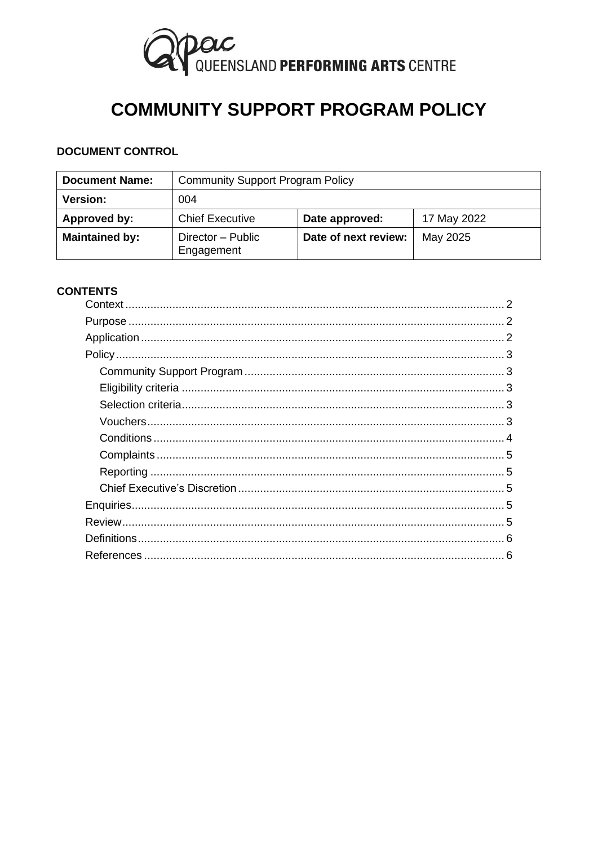

# **COMMUNITY SUPPORT PROGRAM POLICY**

# **DOCUMENT CONTROL**

| <b>Document Name:</b> | <b>Community Support Program Policy</b> |                      |             |
|-----------------------|-----------------------------------------|----------------------|-------------|
| <b>Version:</b>       | 004                                     |                      |             |
| Approved by:          | <b>Chief Executive</b>                  | Date approved:       | 17 May 2022 |
| <b>Maintained by:</b> | Director - Public<br>Engagement         | Date of next review: | May 2025    |

# **CONTENTS**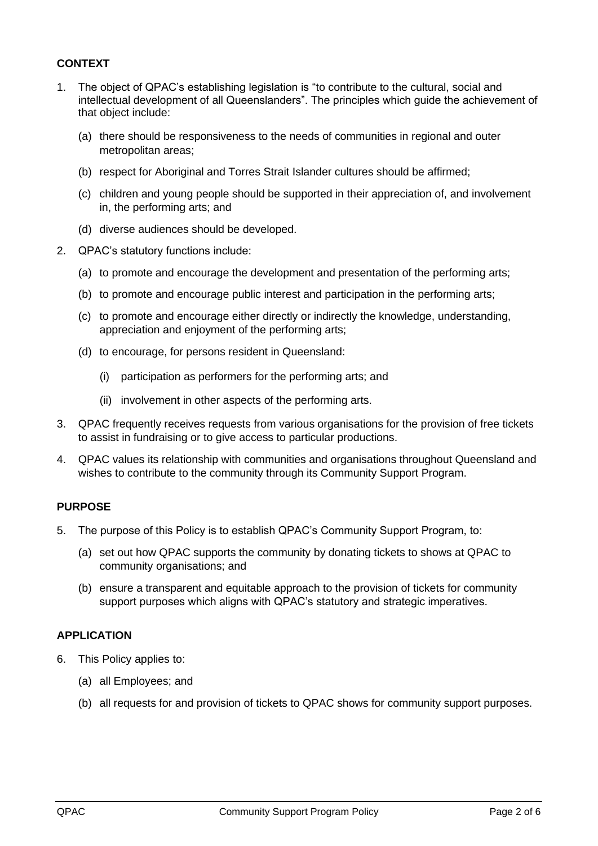# <span id="page-1-0"></span>**CONTEXT**

- 1. The object of QPAC's establishing legislation is "to contribute to the cultural, social and intellectual development of all Queenslanders". The principles which guide the achievement of that object include:
	- (a) there should be responsiveness to the needs of communities in regional and outer metropolitan areas;
	- (b) respect for Aboriginal and Torres Strait Islander cultures should be affirmed;
	- (c) children and young people should be supported in their appreciation of, and involvement in, the performing arts; and
	- (d) diverse audiences should be developed.
- 2. QPAC's statutory functions include:
	- (a) to promote and encourage the development and presentation of the performing arts;
	- (b) to promote and encourage public interest and participation in the performing arts;
	- (c) to promote and encourage either directly or indirectly the knowledge, understanding, appreciation and enjoyment of the performing arts;
	- (d) to encourage, for persons resident in Queensland:
		- (i) participation as performers for the performing arts; and
		- (ii) involvement in other aspects of the performing arts.
- 3. QPAC frequently receives requests from various organisations for the provision of free tickets to assist in fundraising or to give access to particular productions.
- 4. QPAC values its relationship with communities and organisations throughout Queensland and wishes to contribute to the community through its Community Support Program.

#### <span id="page-1-1"></span>**PURPOSE**

- 5. The purpose of this Policy is to establish QPAC's Community Support Program, to:
	- (a) set out how QPAC supports the community by donating tickets to shows at QPAC to community organisations; and
	- (b) ensure a transparent and equitable approach to the provision of tickets for community support purposes which aligns with QPAC's statutory and strategic imperatives.

## <span id="page-1-2"></span>**APPLICATION**

- 6. This Policy applies to:
	- (a) all Employees; and
	- (b) all requests for and provision of tickets to QPAC shows for community support purposes.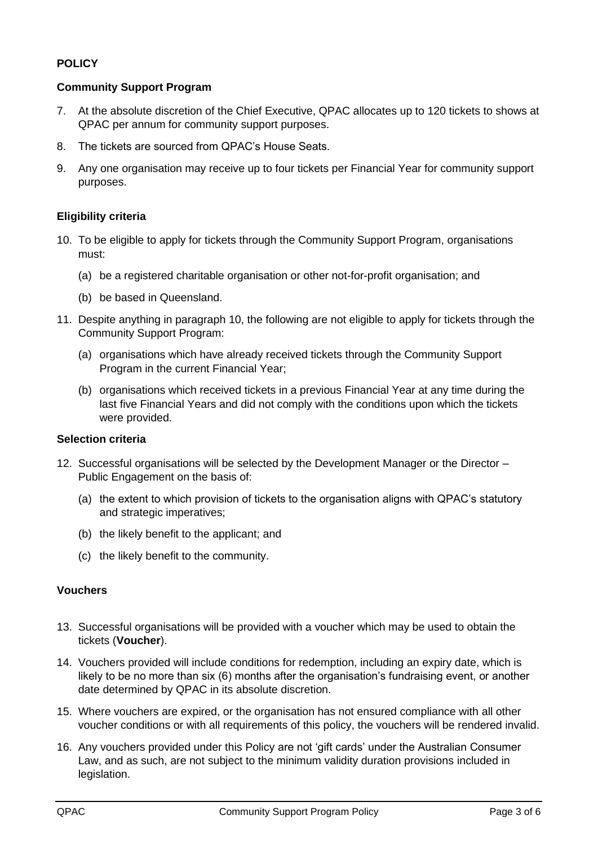# <span id="page-2-0"></span>**POLICY**

# <span id="page-2-1"></span>**Community Support Program**

- 7. At the absolute discretion of the Chief Executive, QPAC allocates up to 120 tickets to shows at QPAC per annum for community support purposes.
- 8. The tickets are sourced from QPAC's House Seats.
- 9. Any one organisation may receive up to four tickets per Financial Year for community support purposes.

# <span id="page-2-2"></span>**Eligibility criteria**

- <span id="page-2-5"></span>10. To be eligible to apply for tickets through the Community Support Program, organisations must:
	- (a) be a registered charitable organisation or other not-for-profit organisation; and
	- (b) be based in Queensland.
- 11. Despite anything in paragraph [10,](#page-2-5) the following are not eligible to apply for tickets through the Community Support Program:
	- (a) organisations which have already received tickets through the Community Support Program in the current Financial Year;
	- (b) organisations which received tickets in a previous Financial Year at any time during the last five Financial Years and did not comply with the conditions upon which the tickets were provided.

## <span id="page-2-3"></span>**Selection criteria**

- 12. Successful organisations will be selected by the Development Manager or the Director Public Engagement on the basis of:
	- (a) the extent to which provision of tickets to the organisation aligns with QPAC's statutory and strategic imperatives;
	- (b) the likely benefit to the applicant; and
	- (c) the likely benefit to the community.

#### <span id="page-2-4"></span>**Vouchers**

- 13. Successful organisations will be provided with a voucher which may be used to obtain the tickets (**Voucher**).
- 14. Vouchers provided will include conditions for redemption, including an expiry date, which is likely to be no more than six (6) months after the organisation's fundraising event, or another date determined by QPAC in its absolute discretion.
- 15. Where vouchers are expired, or the organisation has not ensured compliance with all other voucher conditions or with all requirements of this policy, the vouchers will be rendered invalid.
- 16. Any vouchers provided under this Policy are not 'gift cards' under the Australian Consumer Law, and as such, are not subject to the minimum validity duration provisions included in legislation.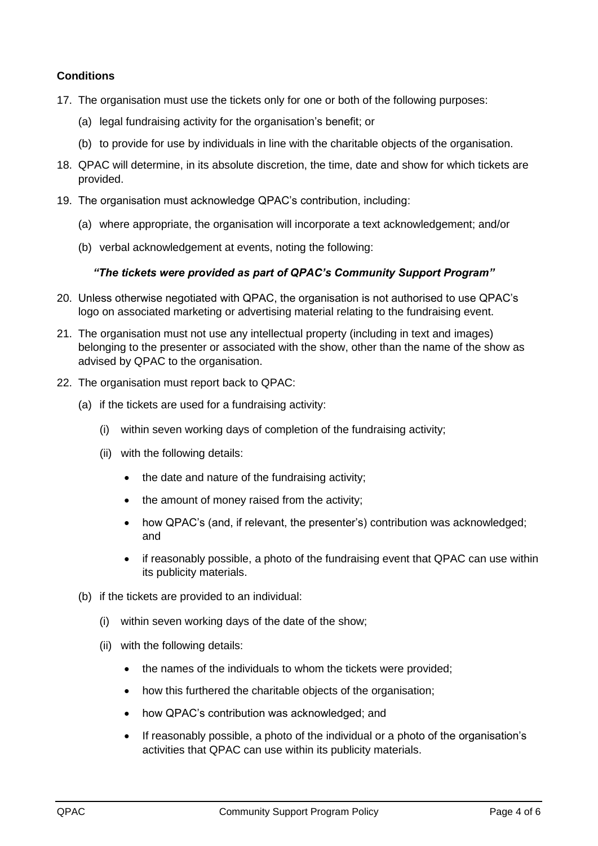# <span id="page-3-0"></span>**Conditions**

- 17. The organisation must use the tickets only for one or both of the following purposes:
	- (a) legal fundraising activity for the organisation's benefit; or
	- (b) to provide for use by individuals in line with the charitable objects of the organisation.
- 18. QPAC will determine, in its absolute discretion, the time, date and show for which tickets are provided.
- 19. The organisation must acknowledge QPAC's contribution, including:
	- (a) where appropriate, the organisation will incorporate a text acknowledgement; and/or
	- (b) verbal acknowledgement at events, noting the following:

#### *"The tickets were provided as part of QPAC's Community Support Program"*

- 20. Unless otherwise negotiated with QPAC, the organisation is not authorised to use QPAC's logo on associated marketing or advertising material relating to the fundraising event.
- 21. The organisation must not use any intellectual property (including in text and images) belonging to the presenter or associated with the show, other than the name of the show as advised by QPAC to the organisation.
- 22. The organisation must report back to QPAC:
	- (a) if the tickets are used for a fundraising activity:
		- (i) within seven working days of completion of the fundraising activity;
		- (ii) with the following details:
			- the date and nature of the fundraising activity;
			- the amount of money raised from the activity;
			- how QPAC's (and, if relevant, the presenter's) contribution was acknowledged; and
			- if reasonably possible, a photo of the fundraising event that QPAC can use within its publicity materials.
	- (b) if the tickets are provided to an individual:
		- (i) within seven working days of the date of the show;
		- (ii) with the following details:
			- the names of the individuals to whom the tickets were provided;
			- how this furthered the charitable objects of the organisation;
			- how QPAC's contribution was acknowledged; and
			- If reasonably possible, a photo of the individual or a photo of the organisation's activities that QPAC can use within its publicity materials.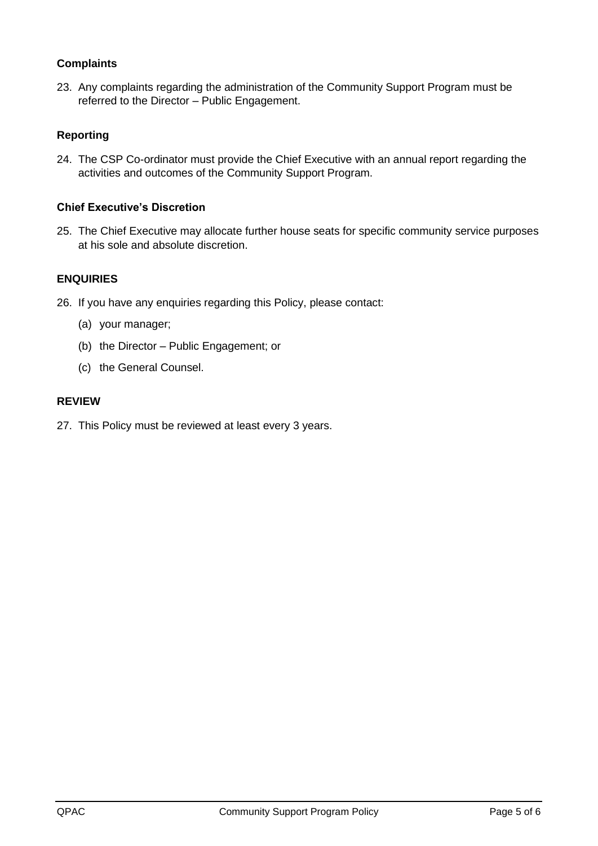# <span id="page-4-0"></span>**Complaints**

23. Any complaints regarding the administration of the Community Support Program must be referred to the Director – Public Engagement.

# <span id="page-4-1"></span>**Reporting**

24. The CSP Co-ordinator must provide the Chief Executive with an annual report regarding the activities and outcomes of the Community Support Program.

# <span id="page-4-2"></span>**Chief Executive's Discretion**

25. The Chief Executive may allocate further house seats for specific community service purposes at his sole and absolute discretion.

# <span id="page-4-3"></span>**ENQUIRIES**

- 26. If you have any enquiries regarding this Policy, please contact:
	- (a) your manager;
	- (b) the Director Public Engagement; or
	- (c) the General Counsel.

#### <span id="page-4-4"></span>**REVIEW**

27. This Policy must be reviewed at least every 3 years.